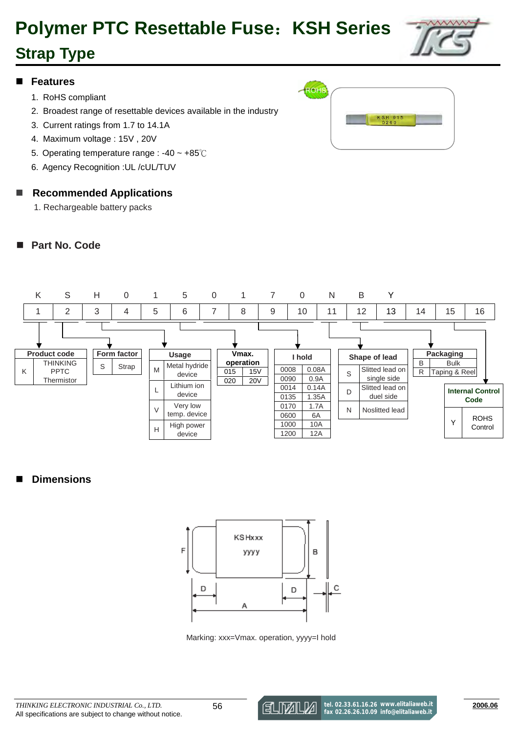# **Polymer PTC Resettable Fuse**:**KSH Series**

# **Strap Type**

#### **Features**

- 1. RoHS compliant
- 2. Broadest range of resettable devices available in the industry
- 3. Current ratings from 1.7 to 14.1A
- 4. Maximum voltage : 15V , 20V
- 5. Operating temperature range : -40 ~ +85℃
- 6. Agency Recognition :UL /cUL/TUV

#### ■ Recommended Applications

1. Rechargeable battery packs

#### **Part No. Code**





#### **Dimensions**



Marking: xxx=Vmax. operation, yyyy=I hold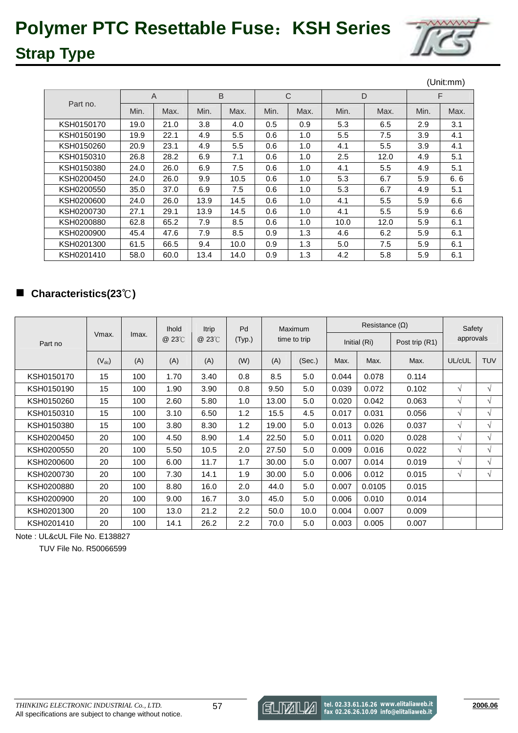

|            |      |                |      |      |              |      |      |      |      | (Unit:mm) |
|------------|------|----------------|------|------|--------------|------|------|------|------|-----------|
|            |      | $\overline{A}$ | B    |      | $\mathsf{C}$ |      | D    |      | F    |           |
| Part no.   | Min. | Max.           | Min. | Max. | Min.         | Max. | Min. | Max. | Min. | Max.      |
| KSH0150170 | 19.0 | 21.0           | 3.8  | 4.0  | 0.5          | 0.9  | 5.3  | 6.5  | 2.9  | 3.1       |
| KSH0150190 | 19.9 | 22.1           | 4.9  | 5.5  | 0.6          | 1.0  | 5.5  | 7.5  | 3.9  | 4.1       |
| KSH0150260 | 20.9 | 23.1           | 4.9  | 5.5  | 0.6          | 1.0  | 4.1  | 5.5  | 3.9  | 4.1       |
| KSH0150310 | 26.8 | 28.2           | 6.9  | 7.1  | 0.6          | 1.0  | 2.5  | 12.0 | 4.9  | 5.1       |
| KSH0150380 | 24.0 | 26.0           | 6.9  | 7.5  | 0.6          | 1.0  | 4.1  | 5.5  | 4.9  | 5.1       |
| KSH0200450 | 24.0 | 26.0           | 9.9  | 10.5 | 0.6          | 1.0  | 5.3  | 6.7  | 5.9  | 6.6       |
| KSH0200550 | 35.0 | 37.0           | 6.9  | 7.5  | 0.6          | 1.0  | 5.3  | 6.7  | 4.9  | 5.1       |
| KSH0200600 | 24.0 | 26.0           | 13.9 | 14.5 | 0.6          | 1.0  | 4.1  | 5.5  | 5.9  | 6.6       |
| KSH0200730 | 27.1 | 29.1           | 13.9 | 14.5 | 0.6          | 1.0  | 4.1  | 5.5  | 5.9  | 6.6       |
| KSH0200880 | 62.8 | 65.2           | 7.9  | 8.5  | 0.6          | 1.0  | 10.0 | 12.0 | 5.9  | 6.1       |
| KSH0200900 | 45.4 | 47.6           | 7.9  | 8.5  | 0.9          | 1.3  | 4.6  | 6.2  | 5.9  | 6.1       |
| KSH0201300 | 61.5 | 66.5           | 9.4  | 10.0 | 0.9          | 1.3  | 5.0  | 7.5  | 5.9  | 6.1       |
| KSH0201410 | 58.0 | 60.0           | 13.4 | 14.0 | 0.9          | 1.3  | 4.2  | 5.8  | 5.9  | 6.1       |

### **Characteristics(23**℃**)**

|            |            |       | <b>Ihold</b> | <b>Itrip</b> | Pd               | Maximum<br>(Typ.)<br>time to trip |        |              | Resistance $(\Omega)$ | Safety         |            |            |
|------------|------------|-------|--------------|--------------|------------------|-----------------------------------|--------|--------------|-----------------------|----------------|------------|------------|
| Part no    | Vmax.      | Imax. | @ 23°C       | @ 23°C       |                  |                                   |        | Initial (Ri) |                       | Post trip (R1) |            | approvals  |
|            | $(V_{dc})$ | (A)   | (A)          | (A)          | (W)              | (A)                               | (Sec.) | Max.         | Max.                  | Max.           | UL/cUL     | <b>TUV</b> |
| KSH0150170 | 15         | 100   | 1.70         | 3.40         | 0.8              | 8.5                               | 5.0    | 0.044        | 0.078                 | 0.114          |            |            |
| KSH0150190 | 15         | 100   | 1.90         | 3.90         | 0.8              | 9.50                              | 5.0    | 0.039        | 0.072                 | 0.102          | $\sqrt{ }$ | $\sqrt{ }$ |
| KSH0150260 | 15         | 100   | 2.60         | 5.80         | 1.0              | 13.00                             | 5.0    | 0.020        | 0.042                 | 0.063          | V          | $\sqrt{ }$ |
| KSH0150310 | 15         | 100   | 3.10         | 6.50         | 1.2              | 15.5                              | 4.5    | 0.017        | 0.031                 | 0.056          | V          | $\sqrt{ }$ |
| KSH0150380 | 15         | 100   | 3.80         | 8.30         | 1.2              | 19.00                             | 5.0    | 0.013        | 0.026                 | 0.037          | V          | $\sqrt{ }$ |
| KSH0200450 | 20         | 100   | 4.50         | 8.90         | 1.4              | 22.50                             | 5.0    | 0.011        | 0.020                 | 0.028          | V          | $\sqrt{ }$ |
| KSH0200550 | 20         | 100   | 5.50         | 10.5         | 2.0              | 27.50                             | 5.0    | 0.009        | 0.016                 | 0.022          | V          | $\sqrt{ }$ |
| KSH0200600 | 20         | 100   | 6.00         | 11.7         | 1.7              | 30.00                             | 5.0    | 0.007        | 0.014                 | 0.019          | V          | $\sqrt{ }$ |
| KSH0200730 | 20         | 100   | 7.30         | 14.1         | 1.9              | 30.00                             | 5.0    | 0.006        | 0.012                 | 0.015          | $\sqrt{ }$ | $\sqrt{ }$ |
| KSH0200880 | 20         | 100   | 8.80         | 16.0         | 2.0              | 44.0                              | 5.0    | 0.007        | 0.0105                | 0.015          |            |            |
| KSH0200900 | 20         | 100   | 9.00         | 16.7         | 3.0              | 45.0                              | 5.0    | 0.006        | 0.010                 | 0.014          |            |            |
| KSH0201300 | 20         | 100   | 13.0         | 21.2         | $2.2\phantom{0}$ | 50.0                              | 10.0   | 0.004        | 0.007                 | 0.009          |            |            |
| KSH0201410 | 20         | 100   | 14.1         | 26.2         | $2.2\phantom{0}$ | 70.0                              | 5.0    | 0.003        | 0.005                 | 0.007          |            |            |

Note : UL&cUL File No. E138827

TUV File No. R50066599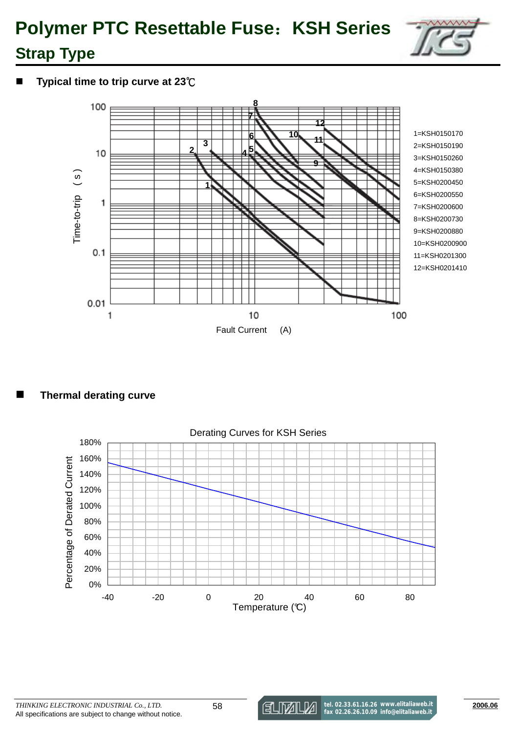

**Typical time to trip curve at 23**℃



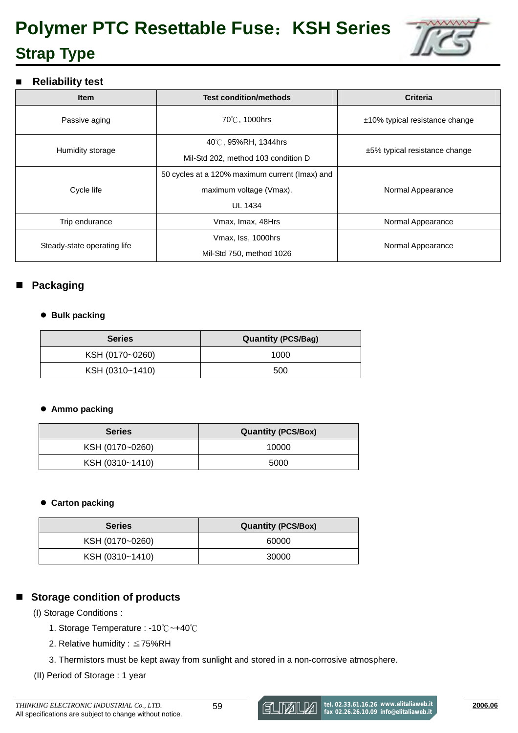

#### **Reliability test**

| <b>Item</b>                 | <b>Test condition/methods</b>                  | <b>Criteria</b>                   |  |
|-----------------------------|------------------------------------------------|-----------------------------------|--|
| Passive aging               | 70℃, 1000hrs                                   | $±10\%$ typical resistance change |  |
|                             | 40°C, 95%RH, 1344hrs                           |                                   |  |
| Humidity storage            | Mil-Std 202, method 103 condition D            | $±5\%$ typical resistance change  |  |
|                             | 50 cycles at a 120% maximum current (Imax) and |                                   |  |
| Cycle life                  | maximum voltage (Vmax).                        | Normal Appearance                 |  |
|                             | <b>UL 1434</b>                                 |                                   |  |
| Trip endurance              | Vmax, Imax, 48Hrs                              | Normal Appearance                 |  |
|                             | Vmax, Iss, 1000hrs                             |                                   |  |
| Steady-state operating life | Mil-Std 750, method 1026                       | Normal Appearance                 |  |

### **Packaging**

#### - **Bulk packing**

| <b>Series</b>   | <b>Quantity (PCS/Bag)</b> |  |  |  |  |
|-----------------|---------------------------|--|--|--|--|
| KSH (0170~0260) | 1000                      |  |  |  |  |
| KSH (0310~1410) | 500                       |  |  |  |  |

#### **•** Ammo packing

| <b>Series</b>   | <b>Quantity (PCS/Box)</b> |  |  |  |  |
|-----------------|---------------------------|--|--|--|--|
| KSH (0170~0260) | 10000                     |  |  |  |  |
| KSH (0310~1410) | 5000                      |  |  |  |  |

#### **• Carton packing**

| <b>Quantity (PCS/Box)</b> |
|---------------------------|
| 60000                     |
| 30000                     |
|                           |

### ■ Storage condition of products

(I) Storage Conditions :

- 1. Storage Temperature : -10℃~+40℃
- 2. Relative humidity : ≦75%RH
- 3. Thermistors must be kept away from sunlight and stored in a non-corrosive atmosphere.

(II) Period of Storage : 1 year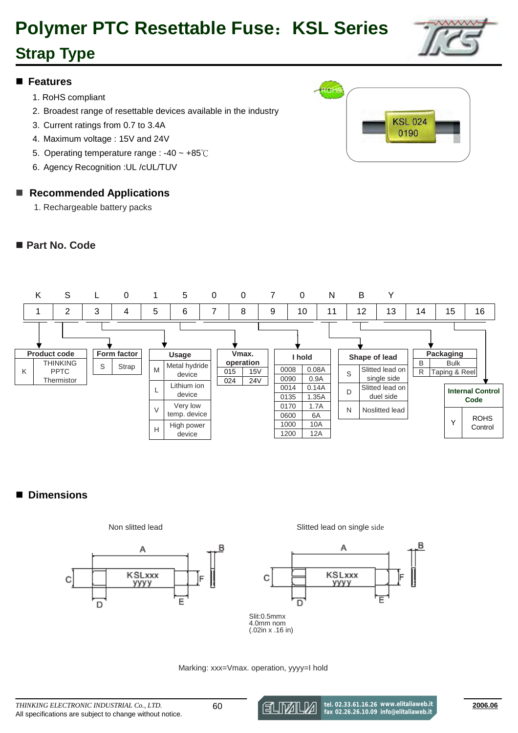# **Polymer PTC Resettable Fuse**:**KSL Series**

# **Strap Type**

#### **Features**

- 1. RoHS compliant
- 2. Broadest range of resettable devices available in the industry
- 3. Current ratings from 0.7 to 3.4A
- 4. Maximum voltage : 15V and 24V
- 5. Operating temperature range : -40 ~ +85℃
- 6. Agency Recognition :UL /cUL/TUV

#### ■ Recommended Applications

1. Rechargeable battery packs

#### **Part No. Code**





### **Dimensions**



Non slitted lead Slitted lead on single side



Slit:0.5mmx 4.0mm nom (.02in x .16 in)

#### Marking: xxx=Vmax. operation, yyyy=I hold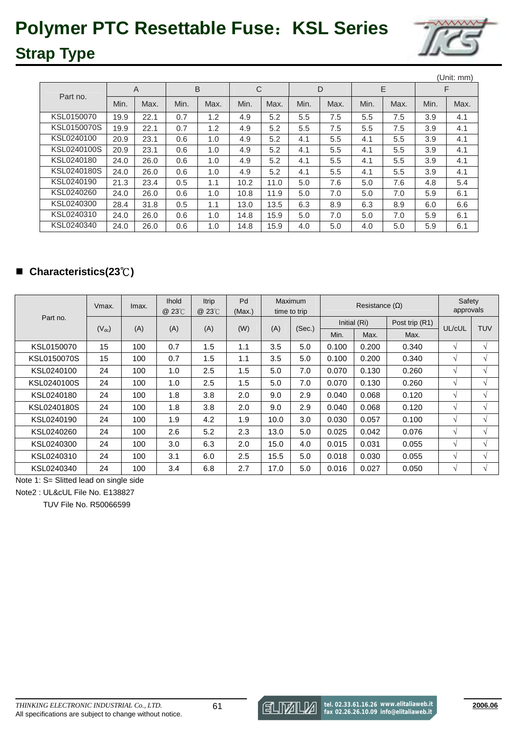# **Polymer PTC Resettable Fuse**:**KSL Series**



# **Strap Type**

|             |      |                |      |      |      |      |      |      |      |      |      | (Unit: mm) |
|-------------|------|----------------|------|------|------|------|------|------|------|------|------|------------|
| Part no.    |      | $\overline{A}$ | B    |      | C    |      | D    |      | E    |      | F    |            |
|             | Min. | Max.           | Min. | Max. | Min. | Max. | Min. | Max. | Min. | Max. | Min. | Max.       |
| KSL0150070  | 19.9 | 22.1           | 0.7  | 1.2  | 4.9  | 5.2  | 5.5  | 7.5  | 5.5  | 7.5  | 3.9  | 4.1        |
| KSL0150070S | 19.9 | 22.1           | 0.7  | 1.2  | 4.9  | 5.2  | 5.5  | 7.5  | 5.5  | 7.5  | 3.9  | 4.1        |
| KSL0240100  | 20.9 | 23.1           | 0.6  | 1.0  | 4.9  | 5.2  | 4.1  | 5.5  | 4.1  | 5.5  | 3.9  | 4.1        |
| KSL0240100S | 20.9 | 23.1           | 0.6  | 1.0  | 4.9  | 5.2  | 4.1  | 5.5  | 4.1  | 5.5  | 3.9  | 4.1        |
| KSL0240180  | 24.0 | 26.0           | 0.6  | 1.0  | 4.9  | 5.2  | 4.1  | 5.5  | 4.1  | 5.5  | 3.9  | 4.1        |
| KSL0240180S | 24.0 | 26.0           | 0.6  | 1.0  | 4.9  | 5.2  | 4.1  | 5.5  | 4.1  | 5.5  | 3.9  | 4.1        |
| KSL0240190  | 21.3 | 23.4           | 0.5  | 1.1  | 10.2 | 11.0 | 5.0  | 7.6  | 5.0  | 7.6  | 4.8  | 5.4        |
| KSL0240260  | 24.0 | 26.0           | 0.6  | 1.0  | 10.8 | 11.9 | 5.0  | 7.0  | 5.0  | 7.0  | 5.9  | 6.1        |
| KSL0240300  | 28.4 | 31.8           | 0.5  | 1.1  | 13.0 | 13.5 | 6.3  | 8.9  | 6.3  | 8.9  | 6.0  | 6.6        |
| KSL0240310  | 24.0 | 26.0           | 0.6  | 1.0  | 14.8 | 15.9 | 5.0  | 7.0  | 5.0  | 7.0  | 5.9  | 6.1        |
| KSL0240340  | 24.0 | 26.0           | 0.6  | 1.0  | 14.8 | 15.9 | 4.0  | 5.0  | 4.0  | 5.0  | 5.9  | 6.1        |

### **Characteristics(23**℃**)**

|             | Vmax.      | Imax. | <b>Ihold</b><br>@ 23°C | <b>Itrip</b><br>@ 23°C | Pd<br>(Max.) |      | Maximum<br>time to trip |       | Resistance $(\Omega)$ |                | Safety<br>approvals |            |
|-------------|------------|-------|------------------------|------------------------|--------------|------|-------------------------|-------|-----------------------|----------------|---------------------|------------|
| Part no.    |            |       |                        |                        |              |      |                         |       | Initial (Ri)          | Post trip (R1) |                     |            |
|             | $(V_{dc})$ | (A)   | (A)                    | (A)                    | (W)          | (A)  | (Sec.)                  | Min.  | Max.                  | Max.           | UL/cUL              | <b>TUV</b> |
| KSL0150070  | 15         | 100   | 0.7                    | 1.5                    | 1.1          | 3.5  | 5.0                     | 0.100 | 0.200                 | 0.340          | V                   | V          |
| KSL0150070S | 15         | 100   | 0.7                    | 1.5                    | 1.1          | 3.5  | 5.0                     | 0.100 | 0.200                 | 0.340          | V                   | V          |
| KSL0240100  | 24         | 100   | 1.0                    | 2.5                    | 1.5          | 5.0  | 7.0                     | 0.070 | 0.130                 | 0.260          | V                   | V          |
| KSL0240100S | 24         | 100   | 1.0                    | 2.5                    | 1.5          | 5.0  | 7.0                     | 0.070 | 0.130                 | 0.260          | V                   | V          |
| KSL0240180  | 24         | 100   | 1.8                    | 3.8                    | 2.0          | 9.0  | 2.9                     | 0.040 | 0.068                 | 0.120          | V                   | V          |
| KSL0240180S | 24         | 100   | 1.8                    | 3.8                    | 2.0          | 9.0  | 2.9                     | 0.040 | 0.068                 | 0.120          | V                   | V          |
| KSL0240190  | 24         | 100   | 1.9                    | 4.2                    | 1.9          | 10.0 | 3.0                     | 0.030 | 0.057                 | 0.100          | V                   | V          |
| KSL0240260  | 24         | 100   | 2.6                    | 5.2                    | 2.3          | 13.0 | 5.0                     | 0.025 | 0.042                 | 0.076          | V                   | $\sqrt{ }$ |
| KSL0240300  | 24         | 100   | 3.0                    | 6.3                    | 2.0          | 15.0 | 4.0                     | 0.015 | 0.031                 | 0.055          | V                   | V          |
| KSL0240310  | 24         | 100   | 3.1                    | 6.0                    | 2.5          | 15.5 | 5.0                     | 0.018 | 0.030                 | 0.055          | V                   | $\sqrt{ }$ |
| KSL0240340  | 24         | 100   | 3.4                    | 6.8                    | 2.7          | 17.0 | 5.0                     | 0.016 | 0.027                 | 0.050          | V                   | V          |

Note 1: S= Slitted lead on single side

Note2 : UL&cUL File No. E138827

TUV File No. R50066599

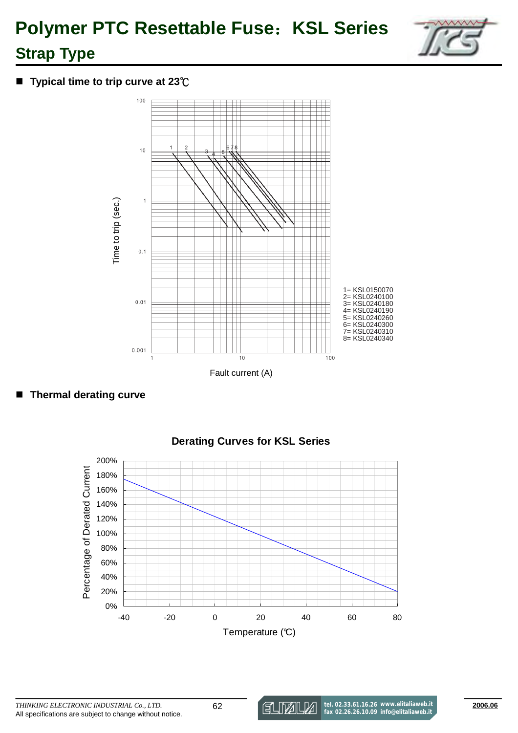

### **Typical time to trip curve at 23**℃





### **Derating Curves for KSL Series**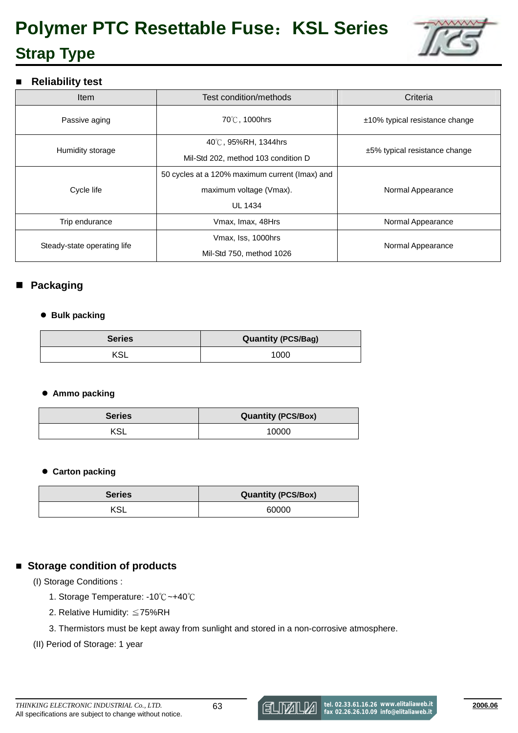# **Polymer PTC Resettable Fuse**:**KSL Series Strap Type**



#### **Reliability test**

| <b>Item</b>                 | Test condition/methods                         | Criteria                          |  |
|-----------------------------|------------------------------------------------|-----------------------------------|--|
| Passive aging               | 70℃, 1000hrs                                   | $±10\%$ typical resistance change |  |
|                             | 40℃, 95%RH, 1344hrs                            |                                   |  |
| Humidity storage            | Mil-Std 202, method 103 condition D            | $±5\%$ typical resistance change  |  |
|                             | 50 cycles at a 120% maximum current (Imax) and |                                   |  |
| Cycle life                  | maximum voltage (Vmax).                        | Normal Appearance                 |  |
|                             | <b>UL 1434</b>                                 |                                   |  |
| Trip endurance              | Vmax, Imax, 48Hrs                              | Normal Appearance                 |  |
|                             | Vmax, Iss, 1000hrs                             |                                   |  |
| Steady-state operating life | Mil-Std 750, method 1026                       | Normal Appearance                 |  |

### **Packaging**

#### - **Bulk packing**

| <b>Series</b> | <b>Quantity (PCS/Bag)</b> |  |  |  |
|---------------|---------------------------|--|--|--|
| KSL           | 1000                      |  |  |  |

#### - **Ammo packing**

| <b>Series</b> | <b>Quantity (PCS/Box)</b> |  |  |  |  |
|---------------|---------------------------|--|--|--|--|
| KSL           | 10000                     |  |  |  |  |

#### **• Carton packing**

| <b>Series</b> | <b>Quantity (PCS/Box)</b> |  |  |  |
|---------------|---------------------------|--|--|--|
| KSL           | 60000                     |  |  |  |

### ■ Storage condition of products

(I) Storage Conditions :

- 1. Storage Temperature: -10℃~+40℃
- 2. Relative Humidity: ≦75%RH
- 3. Thermistors must be kept away from sunlight and stored in a non-corrosive atmosphere.
- (II) Period of Storage: 1 year

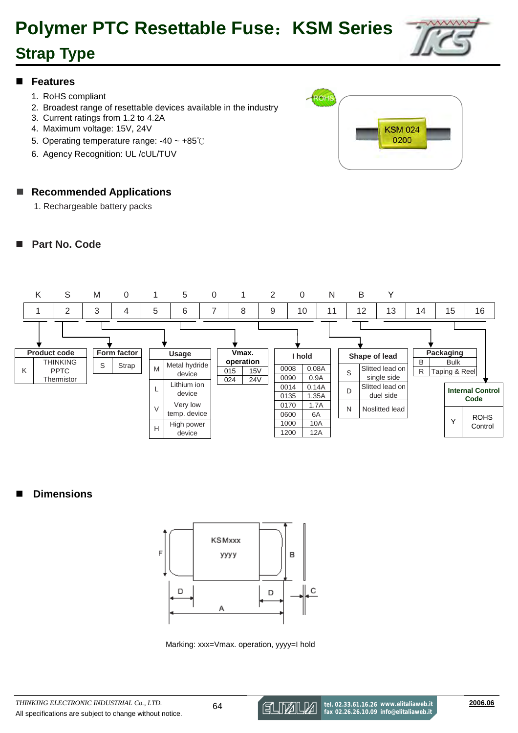# **Polymer PTC Resettable Fuse**:**KSM Series**

# **Strap Type**

#### **Features**

- 1. RoHS compliant
- 2. Broadest range of resettable devices available in the industry
- 3. Current ratings from 1.2 to 4.2A
- 4. Maximum voltage: 15V, 24V
- 5. Operating temperature range: -40 ~ +85℃
- 6. Agency Recognition: UL /cUL/TUV

### ■ Recommended Applications

1. Rechargeable battery packs

### **Part No. Code**





### **Dimensions**



Marking: xxx=Vmax. operation, yyyy=I hold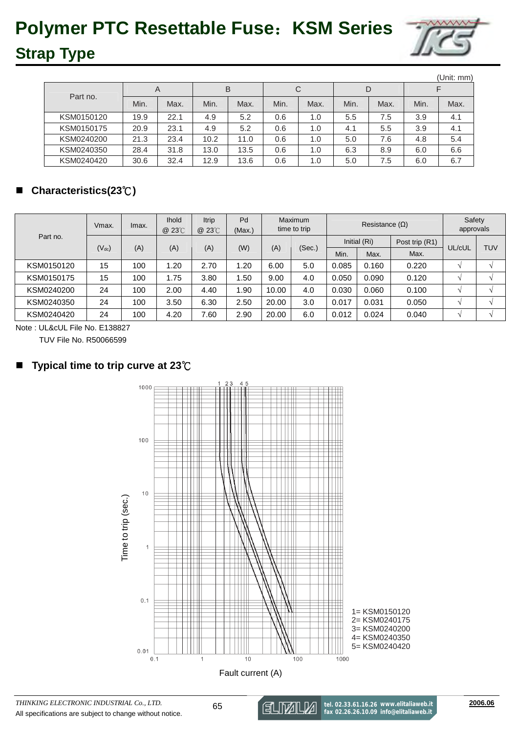# **Polymer PTC Resettable Fuse**:**KSM Series**



# **Strap Type**

|            |      |      |      |      |      |      |      |      |      | (Unit: mm) |
|------------|------|------|------|------|------|------|------|------|------|------------|
| Part no.   | A    |      | B    |      | C    |      | D    |      |      |            |
|            | Min. | Max. | Min. | Max. | Min. | Max. | Min. | Max. | Min. | Max.       |
| KSM0150120 | 19.9 | 22.1 | 4.9  | 5.2  | 0.6  | 1.0  | 5.5  | 7.5  | 3.9  | 4.1        |
| KSM0150175 | 20.9 | 23.1 | 4.9  | 5.2  | 0.6  | 1.0  | 4.1  | 5.5  | 3.9  | 4.1        |
| KSM0240200 | 21.3 | 23.4 | 10.2 | 11.0 | 0.6  | 1.0  | 5.0  | 7.6  | 4.8  | 5.4        |
| KSM0240350 | 28.4 | 31.8 | 13.0 | 13.5 | 0.6  | 1.0  | 6.3  | 8.9  | 6.0  | 6.6        |
| KSM0240420 | 30.6 | 32.4 | 12.9 | 13.6 | 0.6  | 1.0  | 5.0  | 7.5  | 6.0  | 6.7        |

### **Characteristics(23**℃**)**

|            | Vmax.      | Imax.        | <b>Ihold</b><br>@ 23°C | Itrip<br>@ 23°C | Pd<br>(Max.)   |        | <b>Maximum</b><br>time to trip | Resistance $(\Omega)$ |       | Safety<br>approvals |        |  |
|------------|------------|--------------|------------------------|-----------------|----------------|--------|--------------------------------|-----------------------|-------|---------------------|--------|--|
| Part no.   |            | Initial (Ri) |                        |                 | Post trip (R1) | UL/cUL | TUV                            |                       |       |                     |        |  |
|            | $(V_{dc})$ | (A)          | (A)                    | (A)             | (W)            | (A)    | (Sec.)                         | Min.                  | Max.  | Max.                |        |  |
| KSM0150120 | 15         | 100          | .20                    | 2.70            | 1.20           | 6.00   | 5.0                            | 0.085                 | 0.160 | 0.220               | $\sim$ |  |
| KSM0150175 | 15         | 100          | .75                    | 3.80            | 1.50           | 9.00   | 4.0                            | 0.050                 | 0.090 | 0.120               | $\sim$ |  |
| KSM0240200 | 24         | 100          | 2.00                   | 4.40            | 1.90           | 10.00  | 4.0                            | 0.030                 | 0.060 | 0.100               | $\sim$ |  |
| KSM0240350 | 24         | 100          | 3.50                   | 6.30            | 2.50           | 20.00  | 3.0                            | 0.017                 | 0.031 | 0.050               | $\sim$ |  |
| KSM0240420 | 24         | 100          | 4.20                   | 7.60            | 2.90           | 20.00  | 6.0                            | 0.012                 | 0.024 | 0.040               | $\sim$ |  |

Note : UL&cUL File No. E138827

TUV File No. R50066599

### **Typical time to trip curve at 23**℃

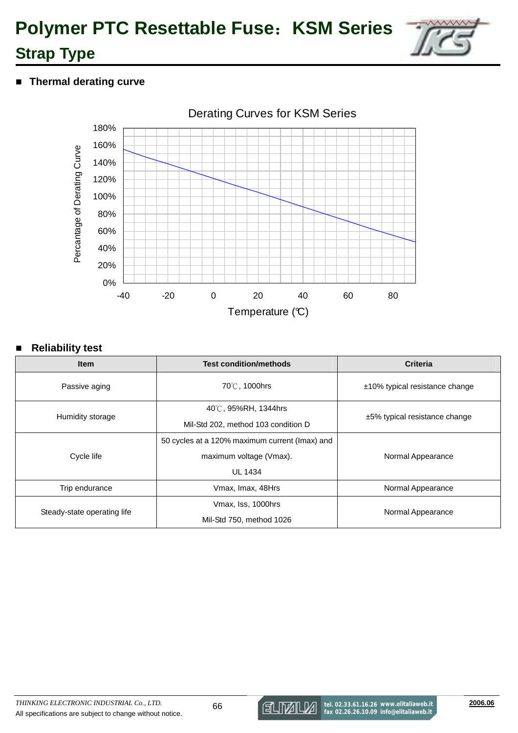

**F** Thermal derating curve



### ■ Reliability test

| <b>Item</b>                         | <b>Test condition/methods</b>                  | <b>Criteria</b>                   |  |
|-------------------------------------|------------------------------------------------|-----------------------------------|--|
| Passive aging                       | 70℃, 1000hrs                                   | $±10\%$ typical resistance change |  |
|                                     | 40℃, 95%RH, 1344hrs                            |                                   |  |
| Humidity storage                    | Mil-Std 202, method 103 condition D            | $±5\%$ typical resistance change  |  |
|                                     | 50 cycles at a 120% maximum current (Imax) and |                                   |  |
| Cycle life                          | maximum voltage (Vmax).                        | Normal Appearance                 |  |
|                                     | <b>UL 1434</b>                                 |                                   |  |
| Vmax, Imax, 48Hrs<br>Trip endurance |                                                | Normal Appearance                 |  |
|                                     | Vmax, Iss, 1000hrs                             |                                   |  |
| Steady-state operating life         | Mil-Std 750, method 1026                       | Normal Appearance                 |  |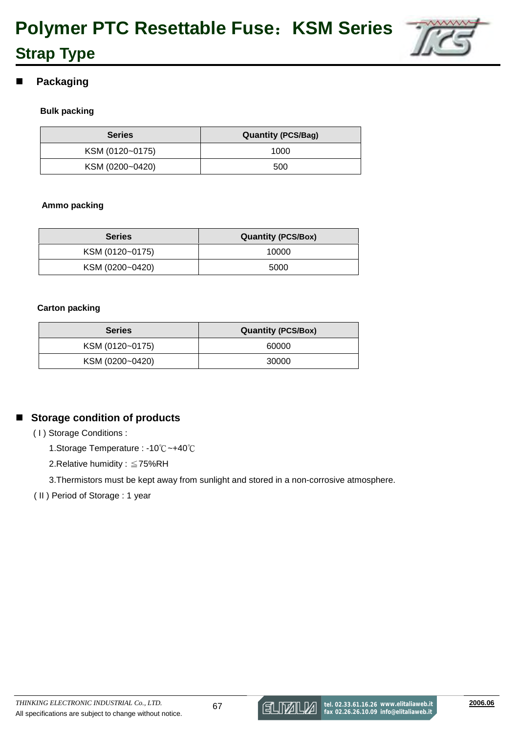

### **Packaging**

**Strap Type** 

#### **Bulk packing**

| <b>Series</b>   | <b>Quantity (PCS/Bag)</b> |  |  |  |  |
|-----------------|---------------------------|--|--|--|--|
| KSM (0120~0175) | 1000                      |  |  |  |  |
| KSM (0200~0420) | 500                       |  |  |  |  |

#### **Ammo packing**

| <b>Series</b>   | <b>Quantity (PCS/Box)</b> |  |  |  |  |
|-----------------|---------------------------|--|--|--|--|
| KSM (0120~0175) | 10000                     |  |  |  |  |
| KSM (0200~0420) | 5000                      |  |  |  |  |

#### **Carton packing**

| <b>Series</b>   | <b>Quantity (PCS/Box)</b> |  |  |  |  |
|-----------------|---------------------------|--|--|--|--|
| KSM (0120~0175) | 60000                     |  |  |  |  |
| KSM (0200~0420) | 30000                     |  |  |  |  |

### ■ Storage condition of products

- ( I ) Storage Conditions :
	- 1.Storage Temperature : -10℃~+40℃
	- 2.Relative humidity : ≦75%RH

3.Thermistors must be kept away from sunlight and stored in a non-corrosive atmosphere.

( II ) Period of Storage : 1 year

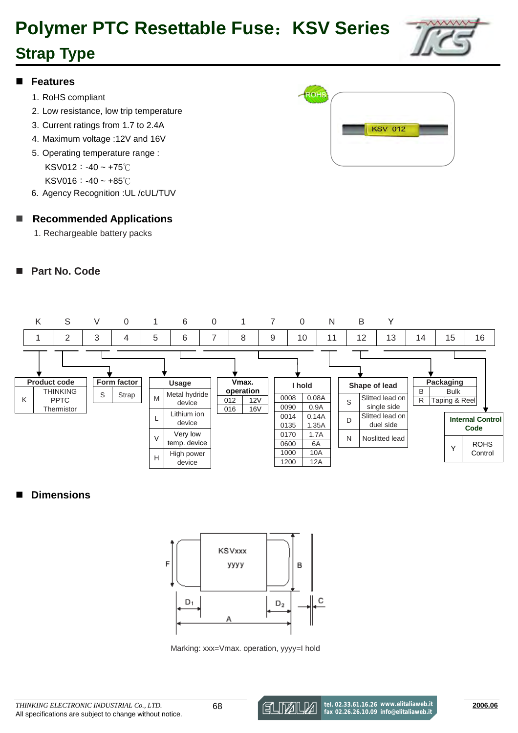# **Polymer PTC Resettable Fuse**:**KSV Series**

# **Strap Type**



#### **Features**

- 1. RoHS compliant
- 2. Low resistance, low trip temperature
- 3. Current ratings from 1.7 to 2.4A
- 4. Maximum voltage :12V and 16V
- 5. Operating temperature range :

KSV012:-40 ~ +75℃

KSV016:-40 ~ +85℃

6. Agency Recognition :UL /cUL/TUV

#### **Recommended Applications**

1. Rechargeable battery packs

### **Part No. Code**





#### **Dimensions**



Marking: xxx=Vmax. operation, yyyy=I hold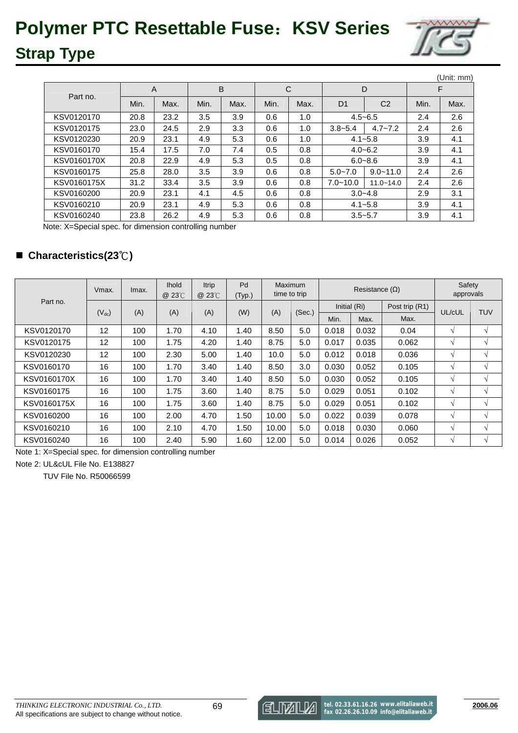

|             |      |      |      |      |      |      |                |                |      | (Unit: mm) |
|-------------|------|------|------|------|------|------|----------------|----------------|------|------------|
| Part no.    | A    |      | B    |      | C    |      | D              |                | F    |            |
|             | Min. | Max. | Min. | Max. | Min. | Max. | D <sub>1</sub> | C <sub>2</sub> | Min. | Max.       |
| KSV0120170  | 20.8 | 23.2 | 3.5  | 3.9  | 0.6  | 1.0  | $4.5 - 6.5$    |                | 2.4  | 2.6        |
| KSV0120175  | 23.0 | 24.5 | 2.9  | 3.3  | 0.6  | 1.0  | $3.8 - 5.4$    | $4.7 - 7.2$    | 2.4  | 2.6        |
| KSV0120230  | 20.9 | 23.1 | 4.9  | 5.3  | 0.6  | 1.0  | $4.1 - 5.8$    |                | 3.9  | 4.1        |
| KSV0160170  | 15.4 | 17.5 | 7.0  | 7.4  | 0.5  | 0.8  | $4.0 - 6.2$    |                | 3.9  | 4.1        |
| KSV0160170X | 20.8 | 22.9 | 4.9  | 5.3  | 0.5  | 0.8  | $6.0 - 8.6$    |                | 3.9  | 4.1        |
| KSV0160175  | 25.8 | 28.0 | 3.5  | 3.9  | 0.6  | 0.8  | $5.0 - 7.0$    | $9.0 - 11.0$   | 2.4  | 2.6        |
| KSV0160175X | 31.2 | 33.4 | 3.5  | 3.9  | 0.6  | 0.8  | $7.0 - 10.0$   | $11.0 - 14.0$  | 2.4  | 2.6        |
| KSV0160200  | 20.9 | 23.1 | 4.1  | 4.5  | 0.6  | 0.8  | $3.0 - 4.8$    |                | 2.9  | 3.1        |
| KSV0160210  | 20.9 | 23.1 | 4.9  | 5.3  | 0.6  | 0.8  |                | $4.1 - 5.8$    |      | 4.1        |
| KSV0160240  | 23.8 | 26.2 | 4.9  | 5.3  | 0.6  | 0.8  | $3.5 - 5.7$    |                | 3.9  | 4.1        |

Note: X=Special spec. for dimension controlling number

### **Characteristics(23**℃**)**

|             | Vmax.      | Imax. | <b>Ihold</b><br>@ 23°C | <b>Itrip</b><br>@ 23°C | Pd<br>(Typ.) |       | Maximum<br>time to trip | Resistance $(\Omega)$ |              | Safety<br>approvals |            |               |
|-------------|------------|-------|------------------------|------------------------|--------------|-------|-------------------------|-----------------------|--------------|---------------------|------------|---------------|
| Part no.    |            |       |                        |                        |              |       |                         |                       | Initial (Ri) | Post trip (R1)      | UL/cUL     | <b>TUV</b>    |
|             | $(V_{dc})$ | (A)   | (A)                    | (A)                    | (W)          | (A)   | (Sec.)                  | Min.                  | Max.         | Max.                |            |               |
| KSV0120170  | 12         | 100   | 1.70                   | 4.10                   | 1.40         | 8.50  | 5.0                     | 0.018                 | 0.032        | 0.04                | V          | $\mathcal{N}$ |
| KSV0120175  | 12         | 100   | 1.75                   | 4.20                   | 1.40         | 8.75  | 5.0                     | 0.017                 | 0.035        | 0.062               | V          | V             |
| KSV0120230  | 12         | 100   | 2.30                   | 5.00                   | 1.40         | 10.0  | 5.0                     | 0.012                 | 0.018        | 0.036               | $\sqrt{ }$ | V             |
| KSV0160170  | 16         | 100   | 1.70                   | 3.40                   | 1.40         | 8.50  | 3.0                     | 0.030                 | 0.052        | 0.105               | $\sqrt{}$  | $\sqrt{ }$    |
| KSV0160170X | 16         | 100   | 1.70                   | 3.40                   | 1.40         | 8.50  | 5.0                     | 0.030                 | 0.052        | 0.105               | V          | $\mathcal{N}$ |
| KSV0160175  | 16         | 100   | 1.75                   | 3.60                   | 1.40         | 8.75  | 5.0                     | 0.029                 | 0.051        | 0.102               | V          | V             |
| KSV0160175X | 16         | 100   | 1.75                   | 3.60                   | 1.40         | 8.75  | 5.0                     | 0.029                 | 0.051        | 0.102               | V          | V             |
| KSV0160200  | 16         | 100   | 2.00                   | 4.70                   | 1.50         | 10.00 | 5.0                     | 0.022                 | 0.039        | 0.078               | V          | $\mathcal{N}$ |
| KSV0160210  | 16         | 100   | 2.10                   | 4.70                   | 1.50         | 10.00 | 5.0                     | 0.018                 | 0.030        | 0.060               | V          | V             |
| KSV0160240  | 16         | 100   | 2.40                   | 5.90                   | 1.60         | 12.00 | 5.0                     | 0.014                 | 0.026        | 0.052               | $\sqrt{ }$ | V             |

Note 1: X=Special spec. for dimension controlling number

Note 2: UL&cUL File No. E138827

TUV File No. R50066599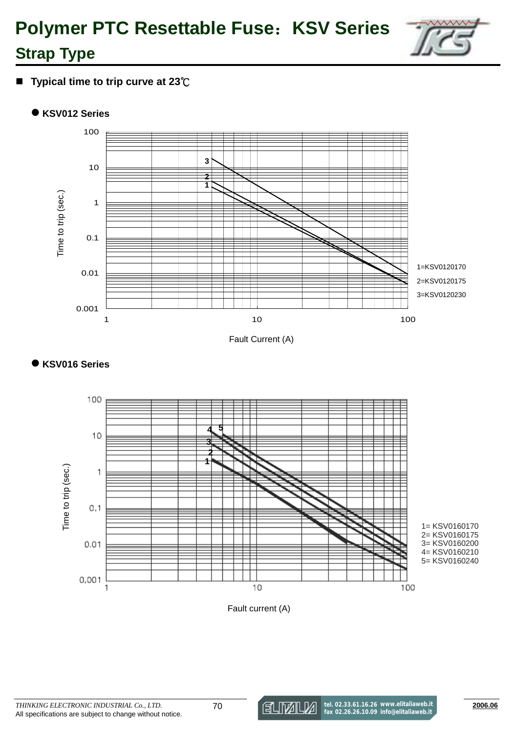

**Typical time to trip curve at 23**℃

### ● KSV012 Series



Fault Current (A)

## - **KSV016 Series**



Fault current (A)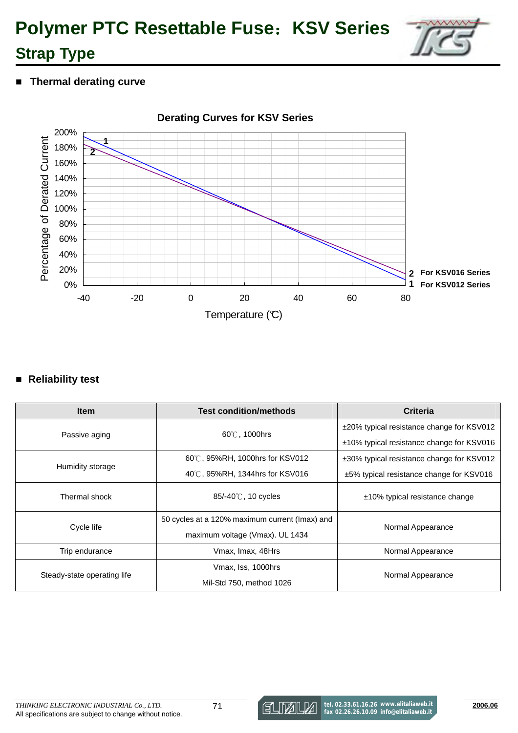

**F** Thermal derating curve



### **Reliability test**

| <b>Item</b>                         | <b>Test condition/methods</b>                  | <b>Criteria</b>                               |  |
|-------------------------------------|------------------------------------------------|-----------------------------------------------|--|
| Passive aging                       | 60°C. 1000hrs                                  | ±20% typical resistance change for KSV012     |  |
|                                     |                                                | ±10% typical resistance change for KSV016     |  |
|                                     | 60°C, 95%RH, 1000hrs for KSV012                | ±30% typical resistance change for KSV012     |  |
| Humidity storage                    | 40°C, 95%RH, 1344hrs for KSV016                | $\pm$ 5% typical resistance change for KSV016 |  |
| Thermal shock                       | 85/-40℃, 10 cycles                             | $±10\%$ typical resistance change             |  |
|                                     | 50 cycles at a 120% maximum current (Imax) and |                                               |  |
| Cycle life                          | maximum voltage (Vmax). UL 1434                | Normal Appearance                             |  |
| Trip endurance<br>Vmax, Imax, 48Hrs |                                                | Normal Appearance                             |  |
|                                     | Vmax, Iss, 1000hrs                             |                                               |  |
| Steady-state operating life         | Mil-Std 750, method 1026                       | Normal Appearance                             |  |